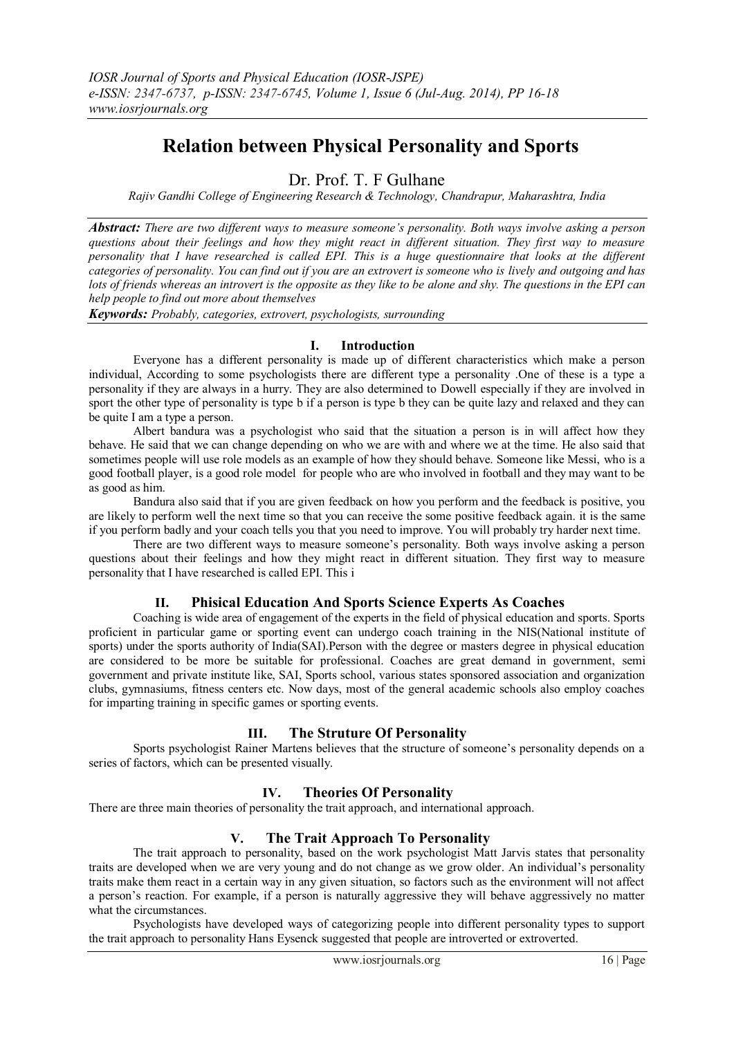# **Relation between Physical Personality and Sports**

Dr. Prof. T. F Gulhane

*Rajiv Gandhi College of Engineering Research & Technology, Chandrapur, Maharashtra, India*

*Abstract: There are two different ways to measure someone's personality. Both ways involve asking a person questions about their feelings and how they might react in different situation. They first way to measure personality that I have researched is called EPI. This is a huge questionnaire that looks at the different categories of personality. You can find out if you are an extrovert is someone who is lively and outgoing and has lots of friends whereas an introvert is the opposite as they like to be alone and shy. The questions in the EPI can help people to find out more about themselves*

*Keywords: Probably, categories, extrovert, psychologists, surrounding*

## **I. Introduction**

Everyone has a different personality is made up of different characteristics which make a person individual, According to some psychologists there are different type a personality .One of these is a type a personality if they are always in a hurry. They are also determined to Dowell especially if they are involved in sport the other type of personality is type b if a person is type b they can be quite lazy and relaxed and they can be quite I am a type a person.

Albert bandura was a psychologist who said that the situation a person is in will affect how they behave. He said that we can change depending on who we are with and where we at the time. He also said that sometimes people will use role models as an example of how they should behave. Someone like Messi, who is a good football player, is a good role model for people who are who involved in football and they may want to be as good as him.

Bandura also said that if you are given feedback on how you perform and the feedback is positive, you are likely to perform well the next time so that you can receive the some positive feedback again. it is the same if you perform badly and your coach tells you that you need to improve. You will probably try harder next time.

There are two different ways to measure someone's personality. Both ways involve asking a person questions about their feelings and how they might react in different situation. They first way to measure personality that I have researched is called EPI. This i

# **II. Phisical Education And Sports Science Experts As Coaches**

Coaching is wide area of engagement of the experts in the field of physical education and sports. Sports proficient in particular game or sporting event can undergo coach training in the NIS(National institute of sports) under the sports authority of India(SAI).Person with the degree or masters degree in physical education are considered to be more be suitable for professional. Coaches are great demand in government, semi government and private institute like, SAI, Sports school, various states sponsored association and organization clubs, gymnasiums, fitness centers etc. Now days, most of the general academic schools also employ coaches for imparting training in specific games or sporting events.

# **III. The Struture Of Personality**

Sports psychologist Rainer Martens believes that the structure of someone's personality depends on a series of factors, which can be presented visually.

# **IV. Theories Of Personality**

There are three main theories of personality the trait approach, and international approach.

# **V. The Trait Approach To Personality**

The trait approach to personality, based on the work psychologist Matt Jarvis states that personality traits are developed when we are very young and do not change as we grow older. An individual's personality traits make them react in a certain way in any given situation, so factors such as the environment will not affect a person's reaction. For example, if a person is naturally aggressive they will behave aggressively no matter what the circumstances.

Psychologists have developed ways of categorizing people into different personality types to support the trait approach to personality Hans Eysenck suggested that people are introverted or extroverted.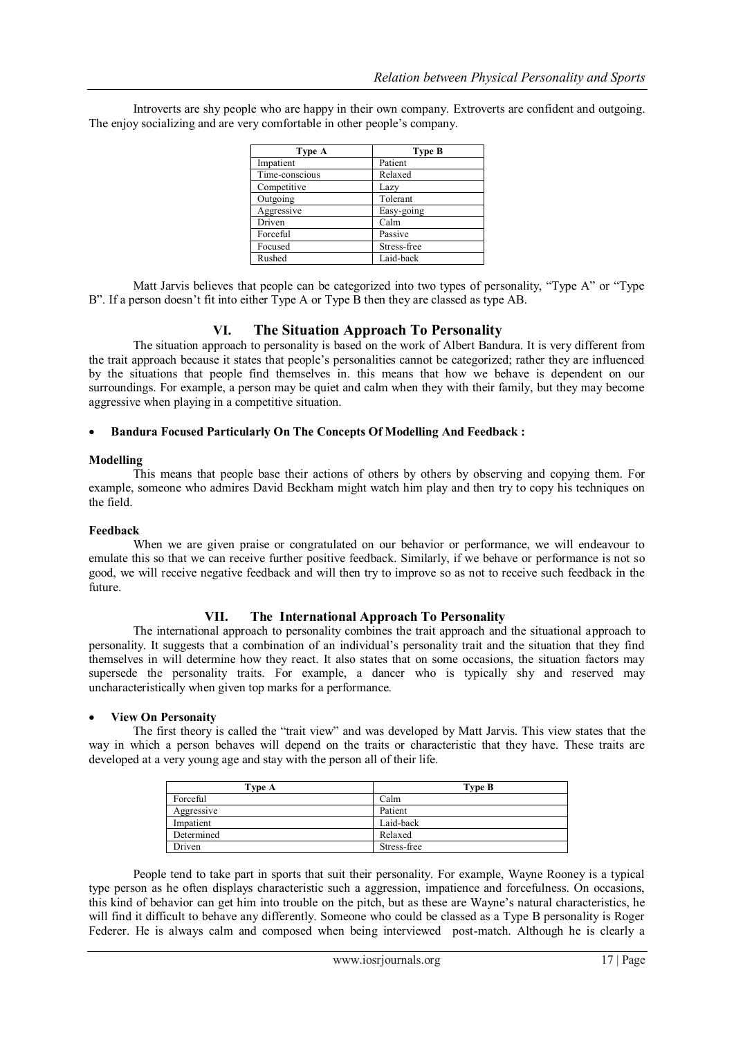| Type A         | Type B      |
|----------------|-------------|
| Impatient      | Patient     |
| Time-conscious | Relaxed     |
| Competitive    | Lazy        |
| Outgoing       | Tolerant    |
| Aggressive     | Easy-going  |
| Driven         | Calm        |
| Forceful       | Passive     |
| Focused        | Stress-free |
| Rushed         | Laid-back   |

Introverts are shy people who are happy in their own company. Extroverts are confident and outgoing. The enjoy socializing and are very comfortable in other people's company.

Matt Jarvis believes that people can be categorized into two types of personality, "Type A" or "Type B". If a person doesn't fit into either Type A or Type B then they are classed as type AB.

## **VI. The Situation Approach To Personality**

The situation approach to personality is based on the work of Albert Bandura. It is very different from the trait approach because it states that people's personalities cannot be categorized; rather they are influenced by the situations that people find themselves in. this means that how we behave is dependent on our surroundings. For example, a person may be quiet and calm when they with their family, but they may become aggressive when playing in a competitive situation.

#### **Bandura Focused Particularly On The Concepts Of Modelling And Feedback :**

#### **Modelling**

This means that people base their actions of others by others by observing and copying them. For example, someone who admires David Beckham might watch him play and then try to copy his techniques on the field.

#### **Feedback**

When we are given praise or congratulated on our behavior or performance, we will endeavour to emulate this so that we can receive further positive feedback. Similarly, if we behave or performance is not so good, we will receive negative feedback and will then try to improve so as not to receive such feedback in the future.

#### **VII. The International Approach To Personality**

The international approach to personality combines the trait approach and the situational approach to personality. It suggests that a combination of an individual's personality trait and the situation that they find themselves in will determine how they react. It also states that on some occasions, the situation factors may supersede the personality traits. For example, a dancer who is typically shy and reserved may uncharacteristically when given top marks for a performance.

#### **View On Personaity**

The first theory is called the "trait view" and was developed by Matt Jarvis. This view states that the way in which a person behaves will depend on the traits or characteristic that they have. These traits are developed at a very young age and stay with the person all of their life.

| Type A     | Type B      |
|------------|-------------|
| Forceful   | Calm        |
| Aggressive | Patient     |
| Impatient  | Laid-back   |
| Determined | Relaxed     |
| Driven     | Stress-free |

People tend to take part in sports that suit their personality. For example, Wayne Rooney is a typical type person as he often displays characteristic such a aggression, impatience and forcefulness. On occasions, this kind of behavior can get him into trouble on the pitch, but as these are Wayne's natural characteristics, he will find it difficult to behave any differently. Someone who could be classed as a Type B personality is Roger Federer. He is always calm and composed when being interviewed post-match. Although he is clearly a